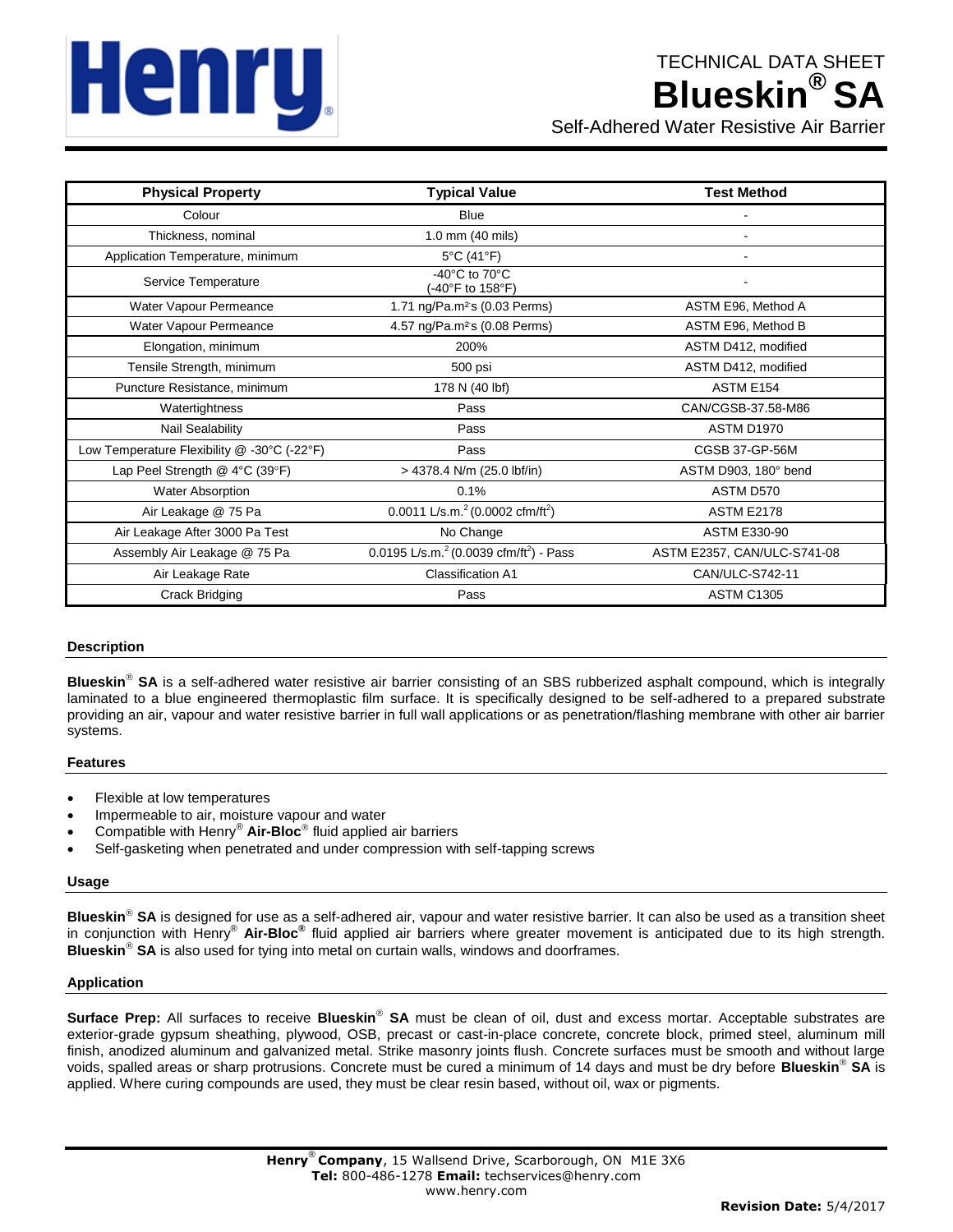# Henru,

| <b>Physical Property</b>                    | <b>Typical Value</b>                                      | <b>Test Method</b>          |
|---------------------------------------------|-----------------------------------------------------------|-----------------------------|
| Colour                                      | <b>Blue</b>                                               |                             |
| Thickness, nominal                          | 1.0 mm (40 mils)                                          |                             |
| Application Temperature, minimum            | 5°C (41°F)                                                |                             |
| Service Temperature                         | -40 $^{\circ}$ C to 70 $^{\circ}$ C<br>(-40°F to 158°F)   |                             |
| Water Vapour Permeance                      | 1.71 ng/Pa.m <sup>2</sup> s (0.03 Perms)                  | ASTM E96, Method A          |
| Water Vapour Permeance                      | 4.57 ng/Pa.m <sup>2</sup> s (0.08 Perms)                  | ASTM E96, Method B          |
| Elongation, minimum                         | 200%                                                      | ASTM D412, modified         |
| Tensile Strength, minimum                   | 500 psi                                                   | ASTM D412, modified         |
| Puncture Resistance, minimum                | 178 N (40 lbf)                                            | ASTM E154                   |
| Watertightness                              | Pass                                                      | CAN/CGSB-37.58-M86          |
| Nail Sealability                            | Pass                                                      | <b>ASTM D1970</b>           |
| Low Temperature Flexibility @ -30°C (-22°F) | Pass                                                      | CGSB 37-GP-56M              |
| Lap Peel Strength $@$ 4°C (39°F)            | > 4378.4 N/m (25.0 lbf/in)                                | ASTM D903, 180° bend        |
| <b>Water Absorption</b>                     | 0.1%                                                      | ASTM D570                   |
| Air Leakage @ 75 Pa                         | 0.0011 L/s.m. $^{2}$ (0.0002 cfm/ft <sup>2</sup> )        | <b>ASTM E2178</b>           |
| Air Leakage After 3000 Pa Test              | No Change                                                 | <b>ASTM E330-90</b>         |
| Assembly Air Leakage @ 75 Pa                | 0.0195 L/s.m. $^{2}$ (0.0039 cfm/ft <sup>2</sup> ) - Pass | ASTM E2357, CAN/ULC-S741-08 |
| Air Leakage Rate                            | <b>Classification A1</b>                                  | CAN/ULC-S742-11             |
| <b>Crack Bridging</b>                       | Pass                                                      | <b>ASTM C1305</b>           |

# **Description**

**Blueskin<sup>®</sup> SA** is a self-adhered water resistive air barrier consisting of an SBS rubberized asphalt compound, which is integrally laminated to a blue engineered thermoplastic film surface. It is specifically designed to be self-adhered to a prepared substrate providing an air, vapour and water resistive barrier in full wall applications or as penetration/flashing membrane with other air barrier systems.

# **Features**

- Flexible at low temperatures
- Impermeable to air, moisture vapour and water
- Compatible with Henry® **Air-Bloc** fluid applied air barriers
- Self-gasketing when penetrated and under compression with self-tapping screws

### **Usage**

Blueskin<sup>®</sup> SA is designed for use as a self-adhered air, vapour and water resistive barrier. It can also be used as a transition sheet in conjunction with Henry® **Air-Bloc®** fluid applied air barriers where greater movement is anticipated due to its high strength. **Blueskin<sup>®</sup> SA** is also used for tying into metal on curtain walls, windows and doorframes.

### **Application**

Surface Prep: All surfaces to receive Blueskin® SA must be clean of oil, dust and excess mortar. Acceptable substrates are exterior-grade gypsum sheathing, plywood, OSB, precast or cast-in-place concrete, concrete block, primed steel, aluminum mill finish, anodized aluminum and galvanized metal. Strike masonry joints flush. Concrete surfaces must be smooth and without large voids, spalled areas or sharp protrusions. Concrete must be cured a minimum of 14 days and must be dry before **Blueskin SA** is applied. Where curing compounds are used, they must be clear resin based, without oil, wax or pigments.